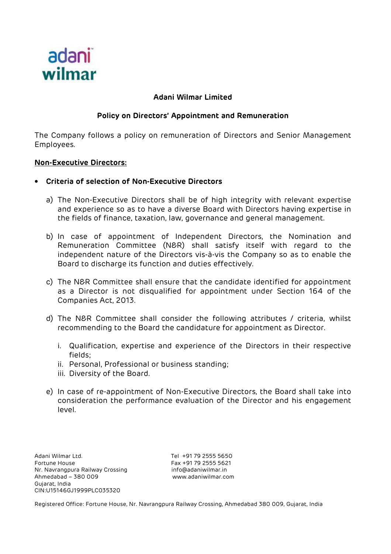

## **Adani Wilmar Limited**

# **Policy on Directors' Appointment and Remuneration**

The Company follows a policy on remuneration of Directors and Senior Management Employees.

#### **Non-Executive Directors:**

- **Criteria of selection of Non-Executive Directors** 
	- a) The Non-Executive Directors shall be of high integrity with relevant expertise and experience so as to have a diverse Board with Directors having expertise in the fields of finance, taxation, law, governance and general management.
	- b) In case of appointment of Independent Directors, the Nomination and Remuneration Committee (N&R) shall satisfy itself with regard to the independent nature of the Directors vis-à-vis the Company so as to enable the Board to discharge its function and duties effectively.
	- c) The N&R Committee shall ensure that the candidate identified for appointment as a Director is not disqualified for appointment under Section 164 of the Companies Act, 2013.
	- d) The N&R Committee shall consider the following attributes / criteria, whilst recommending to the Board the candidature for appointment as Director.
		- i. Qualification, expertise and experience of the Directors in their respective fields;
		- ii. Personal, Professional or business standing;
		- iii. Diversity of the Board.
	- e) In case of re-appointment of Non-Executive Directors, the Board shall take into consideration the performance evaluation of the Director and his engagement level.

Adani Wilmar Ltd. Tel +91 79 2555 5650 Fortune House Fax +91 79 2555 5621 Nr. Navrangpura Railway Crossing info@adaniwilmar.in Ahmedabad – 380 009 www.adaniwilmar.com Gujarat, India CIN:U15146GJ1999PLC035320

Registered Office: Fortune House, Nr. Navrangpura Railway Crossing, Ahmedabad 380 009, Gujarat, India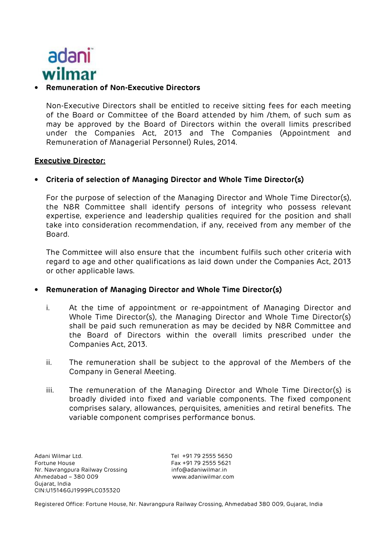

#### • **Remuneration of Non-Executive Directors**

Non-Executive Directors shall be entitled to receive sitting fees for each meeting of the Board or Committee of the Board attended by him /them, of such sum as may be approved by the Board of Directors within the overall limits prescribed under the Companies Act, 2013 and The Companies (Appointment and Remuneration of Managerial Personnel) Rules, 2014.

#### **Executive Director:**

## • **Criteria of selection of Managing Director and Whole Time Director(s)**

For the purpose of selection of the Managing Director and Whole Time Director(s), the N&R Committee shall identify persons of integrity who possess relevant expertise, experience and leadership qualities required for the position and shall take into consideration recommendation, if any, received from any member of the Board.

The Committee will also ensure that the incumbent fulfils such other criteria with regard to age and other qualifications as laid down under the Companies Act, 2013 or other applicable laws.

## • **Remuneration of Managing Director and Whole Time Director(s)**

- i. At the time of appointment or re-appointment of Managing Director and Whole Time Director(s), the Managing Director and Whole Time Director(s) shall be paid such remuneration as may be decided by N&R Committee and the Board of Directors within the overall limits prescribed under the Companies Act, 2013.
- ii. The remuneration shall be subject to the approval of the Members of the Company in General Meeting.
- iii. The remuneration of the Managing Director and Whole Time Director(s) is broadly divided into fixed and variable components. The fixed component comprises salary, allowances, perquisites, amenities and retiral benefits. The variable component comprises performance bonus.

Adani Wilmar Ltd. Tel +91 79 2555 5650 Fortune House Fax +91 79 2555 5621 Nr. Navrangpura Railway Crossing info@adaniwilmar.in Ahmedabad – 380 009 www.adaniwilmar.com Gujarat, India CIN:U15146GJ1999PLC035320

Registered Office: Fortune House, Nr. Navrangpura Railway Crossing, Ahmedabad 380 009, Gujarat, India